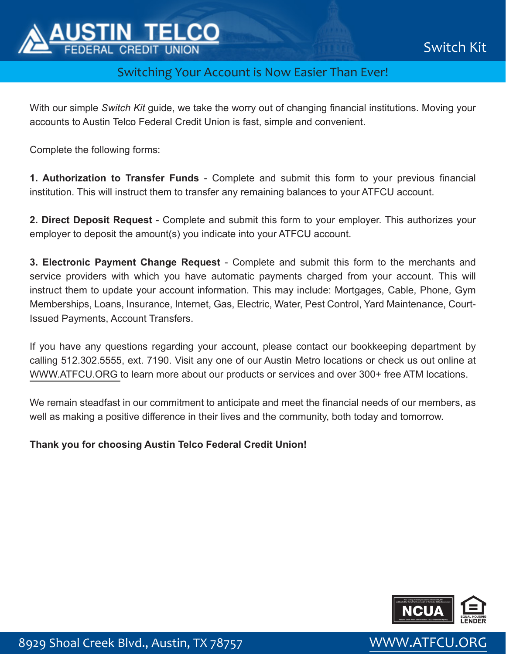

## Switching Your Account is Now Easier Than Ever!

With our simple *Switch Kit* guide, we take the worry out of changing financial institutions. Moving your accounts to Austin Telco Federal Credit Union is fast, simple and convenient.

Complete the following forms:

**1. Authorization to Transfer Funds** - Complete and submit this form to your previous financial institution. This will instruct them to transfer any remaining balances to your ATFCU account.

**2. Direct Deposit Request** - Complete and submit this form to your employer. This authorizes your employer to deposit the amount(s) you indicate into your ATFCU account.

**3. Electronic Payment Change Request** - Complete and submit this form to the merchants and service providers with which you have automatic payments charged from your account. This will instruct them to update your account information. This may include: Mortgages, Cable, Phone, Gym Memberships, Loans, Insurance, Internet, Gas, Electric, Water, Pest Control, Yard Maintenance, Court-Issued Payments, Account Transfers.

If you have any questions regarding your account, please contact our bookkeeping department by calling 512.302.5555, ext. 7190. Visit any one of our Austin Metro locations or check us out online at [WWW.ATFCU.ORG t](https://www.atfcu.org/)o learn more about our products or services and over 300+ free ATM locations.

We remain steadfast in our commitment to anticipate and meet the financial needs of our members, as well as making a positive difference in their lives and the community, both today and tomorrow.

#### **Thank you for choosing Austin Telco Federal Credit Union!**



8929 Shoal Creek Blvd., Austin, TX 78757 WWW.ATFCU.ORG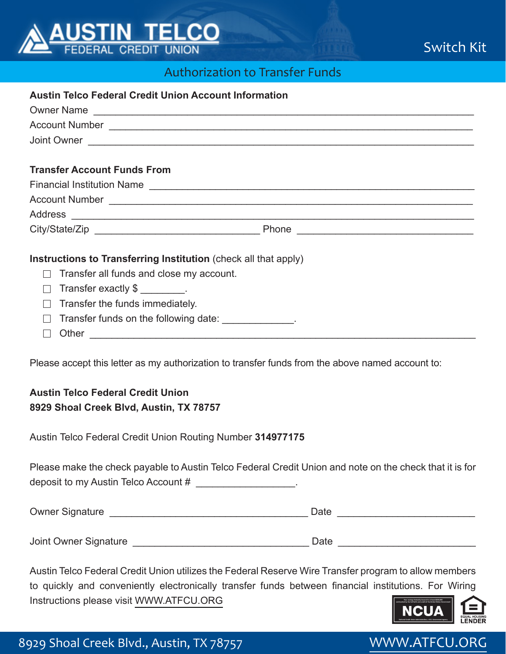

# Switch Kit

## Authorization to Transfer Funds

| <b>Austin Telco Federal Credit Union Account Information</b>           |  |  |  |  |
|------------------------------------------------------------------------|--|--|--|--|
| Owner Name                                                             |  |  |  |  |
|                                                                        |  |  |  |  |
|                                                                        |  |  |  |  |
|                                                                        |  |  |  |  |
| <b>Transfer Account Funds From</b>                                     |  |  |  |  |
|                                                                        |  |  |  |  |
|                                                                        |  |  |  |  |
|                                                                        |  |  |  |  |
|                                                                        |  |  |  |  |
|                                                                        |  |  |  |  |
| Instructions to Transferring Institution (check all that apply)        |  |  |  |  |
| Transfer all funds and close my account.                               |  |  |  |  |
| Transfer exactly \$                                                    |  |  |  |  |
| Transfer the funds immediately.<br>$\sim$                              |  |  |  |  |
| Transfer funds on the following date: ______________.<br>$\mathcal{L}$ |  |  |  |  |
|                                                                        |  |  |  |  |
|                                                                        |  |  |  |  |

Please accept this letter as my authorization to transfer funds from the above named account to:

### **Austin Telco Federal Credit Union 8929 Shoal Creek Blvd, Austin, TX 78757**

Austin Telco Federal Credit Union Routing Number **314977175** 

Please make the check payable to Austin Telco Federal Credit Union and note on the check that it is for deposit to my Austin Telco Account #

| <b>Owner Signature</b> | Date |
|------------------------|------|
|                        |      |
| Joint Owner Signature  | Date |

Austin Telco Federal Credit Union utilizes the Federal Reserve Wire Transfer program to allow members to quickly and conveniently electronically transfer funds between financial institutions. For Wiring Instructions please visit [WWW.ATFCU.ORG](https://www.atfcu.org/)

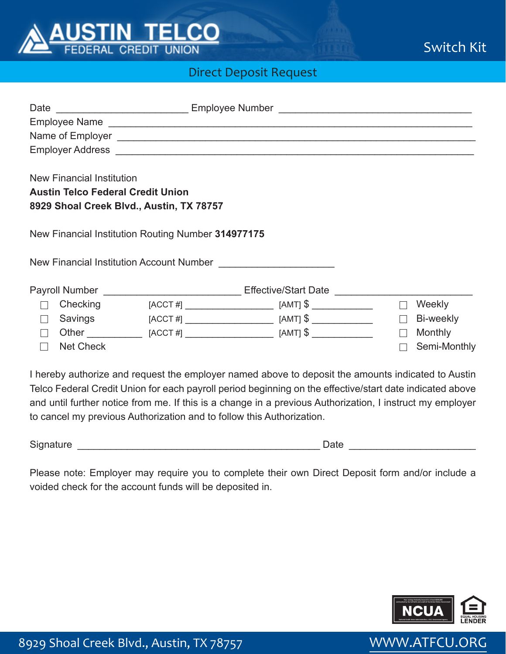

Switch Kit

## Direct Deposit Request

|                                                                                                                          |                  |  | Date _____________________________Employee Number ______________________________ |        |                |
|--------------------------------------------------------------------------------------------------------------------------|------------------|--|----------------------------------------------------------------------------------|--------|----------------|
|                                                                                                                          |                  |  |                                                                                  |        |                |
|                                                                                                                          |                  |  |                                                                                  |        |                |
| <b>New Financial Institution</b><br><b>Austin Telco Federal Credit Union</b><br>8929 Shoal Creek Blvd., Austin, TX 78757 |                  |  |                                                                                  |        |                |
| New Financial Institution Routing Number 314977175                                                                       |                  |  |                                                                                  |        |                |
|                                                                                                                          |                  |  |                                                                                  |        |                |
|                                                                                                                          |                  |  | Payroll Number __________________________Effective/Start Date __________________ |        |                |
|                                                                                                                          | Checking         |  | $[ACCT #]$ $\qquad \qquad$ $[AMT]$ $\text{\$}$                                   | $\Box$ | Weekly         |
|                                                                                                                          | Savings          |  |                                                                                  | $\Box$ | Bi-weekly      |
|                                                                                                                          |                  |  |                                                                                  | $\Box$ | <b>Monthly</b> |
|                                                                                                                          | <b>Net Check</b> |  |                                                                                  |        | Semi-Monthly   |

I hereby authorize and request the employer named above to deposit the amounts indicated to Austin Telco Federal Credit Union for each payroll period beginning on the effective/start date indicated above and until further notice from me. If this is a change in a previous Authorization, I instruct my employer to cancel my previous Authorization and to follow this Authorization.

Signature \_\_\_\_\_\_\_\_\_\_\_\_\_\_\_\_\_\_\_\_\_\_\_\_\_\_\_\_\_\_\_\_\_\_\_\_\_\_\_\_\_\_\_\_ Date \_\_\_\_\_\_\_\_\_\_\_\_\_\_\_\_\_\_\_\_\_\_\_

Please note: Employer may require you to complete their own Direct Deposit form and/or include a voided check for the account funds will be deposited in.